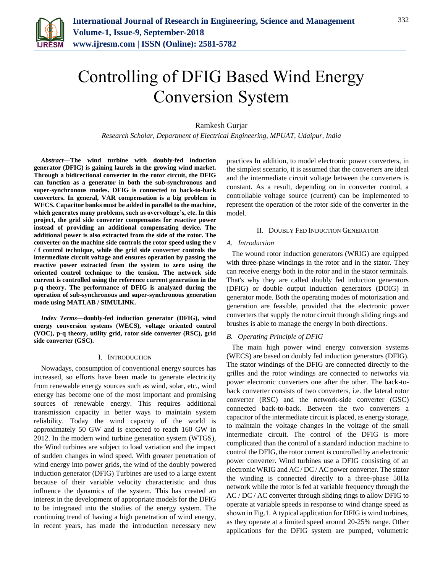

# Controlling of DFIG Based Wind Energy Conversion System

## Ramkesh Gurjar

*Research Scholar, Department of Electrical Engineering, MPUAT, Udaipur, India*

*Abstract***—The wind turbine with doubly-fed induction generator (DFIG) is gaining laurels in the growing wind market. Through a bidirectional converter in the rotor circuit, the DFIG can function as a generator in both the sub-synchronous and super-synchronous modes. DFIG is connected to back-to-back converters. In general, VAR compensation is a big problem in WECS. Capacitor banks must be added in parallel to the machine, which generates many problems, such as overvoltage's, etc. In this project, the grid side converter compensates for reactive power instead of providing an additional compensating device. The additional power is also extracted from the side of the rotor. The converter on the machine side controls the rotor speed using the v / f control technique, while the grid side converter controls the intermediate circuit voltage and ensures operation by passing the reactive power extracted from the system to zero using the oriented control technique to the tension. The network side current is controlled using the reference current generation in the p-q theory. The performance of DFIG is analyzed during the operation of sub-synchronous and super-synchronous generation mode using MATLAB / SIMULINK.**

*Index Terms***—doubly-fed induction generator (DFIG), wind energy conversion systems (WECS), voltage oriented control (VOC), p-q theory, utility grid, rotor side converter (RSC), grid side converter (GSC).**

#### I. INTRODUCTION

Nowadays, consumption of conventional energy sources has increased, so efforts have been made to generate electricity from renewable energy sources such as wind, solar, etc., wind energy has become one of the most important and promising sources of renewable energy. This requires additional transmission capacity in better ways to maintain system reliability. Today the wind capacity of the world is approximately 50 GW and is expected to reach 160 GW in 2012. In the modern wind turbine generation system (WTGS), the Wind turbines are subject to load variation and the impact of sudden changes in wind speed. With greater penetration of wind energy into power grids, the wind of the doubly powered induction generator (DFIG) Turbines are used to a large extent because of their variable velocity characteristic and thus influence the dynamics of the system. This has created an interest in the development of appropriate models for the DFIG to be integrated into the studies of the energy system. The continuing trend of having a high penetration of wind energy, in recent years, has made the introduction necessary new

practices In addition, to model electronic power converters, in the simplest scenario, it is assumed that the converters are ideal and the intermediate circuit voltage between the converters is constant. As a result, depending on in converter control, a controllable voltage source (current) can be implemented to represent the operation of the rotor side of the converter in the model.

#### II. DOUBLY FED INDUCTION GENERATOR

#### *A. Introduction*

The wound rotor induction generators (WRIG) are equipped with three-phase windings in the rotor and in the stator. They can receive energy both in the rotor and in the stator terminals. That's why they are called doubly fed induction generators (DFIG) or double output induction generators (DOIG) in generator mode. Both the operating modes of motorization and generation are feasible, provided that the electronic power converters that supply the rotor circuit through sliding rings and brushes is able to manage the energy in both directions.

# *B. Operating Principle of DFIG*

The main high power wind energy conversion systems (WECS) are based on doubly fed induction generators (DFIG). The stator windings of the DFIG are connected directly to the grilles and the rotor windings are connected to networks via power electronic converters one after the other. The back-toback converter consists of two converters, i.e. the lateral rotor converter (RSC) and the network-side converter (GSC) connected back-to-back. Between the two converters a capacitor of the intermediate circuit is placed, as energy storage, to maintain the voltage changes in the voltage of the small intermediate circuit. The control of the DFIG is more complicated than the control of a standard induction machine to control the DFIG, the rotor current is controlled by an electronic power converter. Wind turbines use a DFIG consisting of an electronic WRIG and AC / DC / AC power converter. The stator the winding is connected directly to a three-phase 50Hz network while the rotor is fed at variable frequency through the AC / DC / AC converter through sliding rings to allow DFIG to operate at variable speeds in response to wind change speed as shown in Fig.1. A typical application for DFIG is wind turbines, as they operate at a limited speed around 20-25% range. Other applications for the DFIG system are pumped, volumetric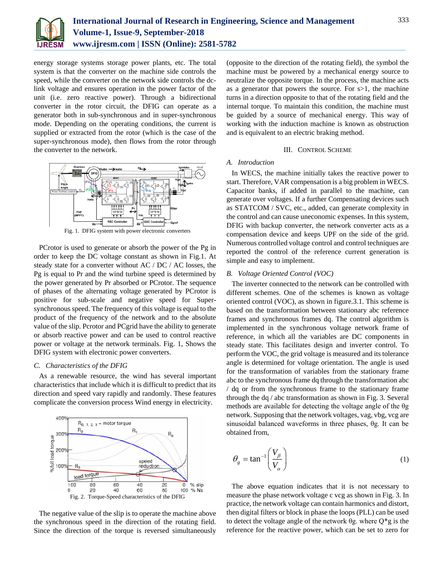

energy storage systems storage power plants, etc. The total system is that the converter on the machine side controls the speed, while the converter on the network side controls the dclink voltage and ensures operation in the power factor of the unit (i.e. zero reactive power). Through a bidirectional converter in the rotor circuit, the DFIG can operate as a generator both in sub-synchronous and in super-synchronous mode. Depending on the operating conditions, the current is supplied or extracted from the rotor (which is the case of the super-synchronous mode), then flows from the rotor through the converter to the network.



Fig. 1. DFIG system with power electronic converters

PCrotor is used to generate or absorb the power of the Pg in order to keep the DC voltage constant as shown in Fig.1. At steady state for a converter without AC / DC / AC losses, the Pg is equal to Pr and the wind turbine speed is determined by the power generated by Pr absorbed or PCrotor. The sequence of phases of the alternating voltage generated by PCrotor is positive for sub-scale and negative speed for Supersynchronous speed. The frequency of this voltage is equal to the product of the frequency of the network and to the absolute value of the slip. Pcrotor and PCgrid have the ability to generate or absorb reactive power and can be used to control reactive power or voltage at the network terminals. Fig. 1, Shows the DFIG system with electronic power converters.

### *C. Characteristics of the DFIG*

As a renewable resource, the wind has several important characteristics that include which it is difficult to predict that its direction and speed vary rapidly and randomly. These features complicate the conversion process Wind energy in electricity.



The negative value of the slip is to operate the machine above the synchronous speed in the direction of the rotating field. Since the direction of the torque is reversed simultaneously

(opposite to the direction of the rotating field), the symbol the machine must be powered by a mechanical energy source to neutralize the opposite torque. In the process, the machine acts as a generator that powers the source. For s>1, the machine turns in a direction opposite to that of the rotating field and the internal torque. To maintain this condition, the machine must be guided by a source of mechanical energy. This way of working with the induction machine is known as obstruction and is equivalent to an electric braking method.

#### III. CONTROL SCHEME

## *A. Introduction*

In WECS, the machine initially takes the reactive power to start. Therefore, VAR compensation is a big problem in WECS. Capacitor banks, if added in parallel to the machine, can generate over voltages. If a further Compensating devices such as STATCOM / SVC, etc., added, can generate complexity in the control and can cause uneconomic expenses. In this system, DFIG with backup converter, the network converter acts as a compensation device and keeps UPF on the side of the grid. Numerous controlled voltage control and control techniques are reported the control of the reference current generation is simple and easy to implement.

#### *B. Voltage Oriented Control (VOC)*

The inverter connected to the network can be controlled with different schemes. One of the schemes is known as voltage oriented control (VOC), as shown in figure.3.1. This scheme is based on the transformation between stationary abc reference frames and synchronous frames dq. The control algorithm is implemented in the synchronous voltage network frame of reference, in which all the variables are DC components in steady state. This facilitates design and inverter control. To perform the VOC, the grid voltage is measured and its tolerance angle is determined for voltage orientation. The angle is used for the transformation of variables from the stationary frame abc to the synchronous frame dq through the transformation abc / dq or from the synchronous frame to the stationary frame through the dq / abc transformation as shown in Fig. 3. Several methods are available for detecting the voltage angle of the θg network. Supposing that the network voltages, vag, vbg, vcg are sinusoidal balanced waveforms in three phases, θg. It can be obtained from,

$$
\theta_g = \tan^{-1} \left( \frac{V_\beta}{V_\alpha} \right) \tag{1}
$$

The above equation indicates that it is not necessary to measure the phase network voltage c vcg as shown in Fig. 3. In practice, the network voltage can contain harmonics and distort, then digital filters or block in phase the loops (PLL) can be used to detect the voltage angle of the network θg. where  $Q^*$ g is the reference for the reactive power, which can be set to zero for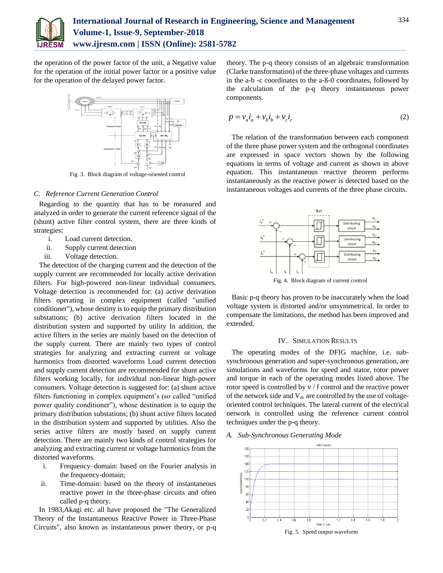

the operation of the power factor of the unit, a Negative value for the operation of the initial power factor or a positive value for the operation of the delayed power factor.



Fig. 3. Block diagram of voltage-oriented control

## *C. Reference Current Generation Control*

Regarding to the quantity that has to be measured and analyzed in order to generate the current reference signal of the (shunt) active filter control system, there are three kinds of strategies:

- i. Load current detection.
- ii. Supply current detection
- iii. Voltage detection.

The detection of the charging current and the detection of the supply current are recommended for locally active derivation filters. For high-powered non-linear individual consumers. Voltage detection is recommended for: (a) active derivation filters operating in complex equipment (called "unified conditioner"), whose destiny is to equip the primary distribution substations; (b) active derivation filters located in the distribution system and supported by utility In addition, the active filters in the series are mainly based on the detection of the supply current. There are mainly two types of control strategies for analyzing and extracting current or voltage harmonics from distorted waveforms Load current detection and supply current detection are recommended for shunt active filters working locally, for individual non-linear high-power consumers. Voltage detection is suggested for: (a) shunt active filters functioning in complex equipment's (so called "unified power quality conditioner"), whose destination is to equip the primary distribution substations; (b) shunt active filters located in the distribution system and supported by utilities. Also the series active filters are mostly based on supply current detection. There are mainly two kinds of control strategies for analyzing and extracting current or voltage harmonics from the distorted waveforms.

- i. Frequency–domain: based on the Fourier analysis in the frequency-domain;
- ii. Time-domain: based on the theory of instantaneous reactive power in the three-phase circuits and often called p-q theory.

In 1983,Akagi etc. all have proposed the "The Generalized Theory of the Instantaneous Reactive Power in Three-Phase Circuits", also known as instantaneous power theory, or p-q theory. The p-q theory consists of an algebraic transformation (Clarke transformation) of the three-phase voltages and currents in the a-b -c coordinates to the a-ß-0 coordinates, followed by the calculation of the p-q theory instantaneous power components.

$$
p = v_a \dot{i}_a + v_b \dot{i}_b + v_c \dot{i}_c \tag{2}
$$

The relation of the transformation between each component of the three phase power system and the orthogonal coordinates are expressed in space vectors shown by the following equations in terms of voltage and current as shown in above equation. This instantaneous reactive theorem performs instantaneously as the reactive power is detected based on the instantaneous voltages and currents of the three phase circuits.



Fig. 4. Block diagram of current control

Basic p-q theory has proven to be inaccurately when the load voltage system is distorted and/or unsymmetrical. In order to compensate the limitations, the method has been improved and extended.

#### IV. SIMULATION RESULTS

The operating modes of the DFIG machine, i.e. subsynchronous generation and super-synchronous generation, are simulations and waveforms for speed and stator, rotor power and torque in each of the operating modes listed above. The rotor speed is controlled by v / f control and the reactive power of the network side and  $V_{dc}$  are controlled by the use of voltageoriented control techniques. The lateral current of the electrical network is controlled using the reference current control techniques under the p-q theory.

*A. Sub-Synchronous Generating Mode*



Fig. 5. Speed output waveform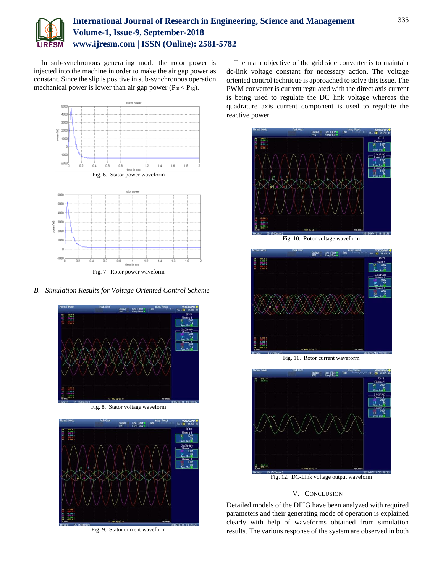

In sub-synchronous generating mode the rotor power is injected into the machine in order to make the air gap power as constant. Since the slip is positive in sub-synchronous operation mechanical power is lower than air gap power ( $P_m < P_{ag}$ ).



*B. Simulation Results for Voltage Oriented Control Scheme*





Fig. 9. Stator current waveform

The main objective of the grid side converter is to maintain dc-link voltage constant for necessary action. The voltage oriented control technique is approached to solve this issue. The PWM converter is current regulated with the direct axis current is being used to regulate the DC link voltage whereas the quadrature axis current component is used to regulate the reactive power.



Fig. 10. Rotor voltage waveform



Fig. 11. Rotor current waveform



Fig. 12. DC-Link voltage output waveform

# V. CONCLUSION

Detailed models of the DFIG have been analyzed with required parameters and their generating mode of operation is explained clearly with help of waveforms obtained from simulation results. The various response of the system are observed in both